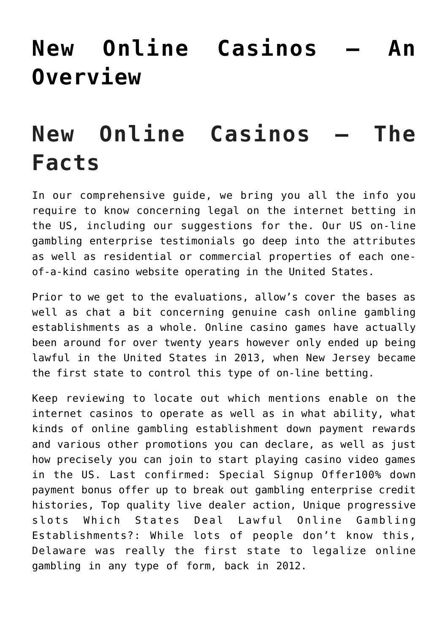# **[New Online Casinos – An](https://cupidspulse.com/136600/new-online-casinos-an-overview/) [Overview](https://cupidspulse.com/136600/new-online-casinos-an-overview/)**

# **New Online Casinos – The Facts**

In our comprehensive guide, we bring you all the info you require to know concerning legal on the internet betting in the US, including our suggestions for the. Our US on-line gambling enterprise testimonials go deep into the attributes as well as residential or commercial properties of each oneof-a-kind casino website operating in the United States.

Prior to we get to the evaluations, allow's cover the bases as well as chat a bit concerning genuine cash online gambling establishments as a whole. Online casino games have actually been around for over twenty years however only ended up being lawful in the United States in 2013, when New Jersey became the first state to control this type of on-line betting.

Keep reviewing to locate out which mentions enable on the internet casinos to operate as well as in what ability, what kinds of online gambling establishment down payment rewards and various other promotions you can declare, as well as just how precisely you can join to start playing casino video games in the US. Last confirmed: Special Signup Offer100% down payment bonus offer up to break out gambling enterprise credit histories, Top quality live dealer action, Unique progressive slots Which States Deal Lawful Online Gambling Establishments?: While lots of people don't know this, Delaware was really the first state to legalize online gambling in any type of form, back in 2012.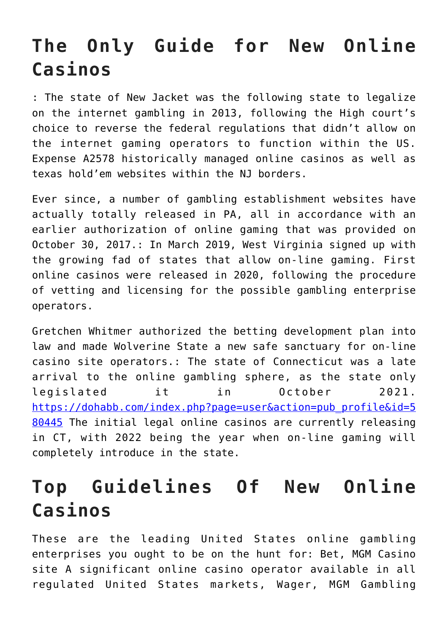## **The Only Guide for New Online Casinos**

: The state of New Jacket was the following state to legalize on the internet gambling in 2013, following the High court's choice to reverse the federal regulations that didn't allow on the internet gaming operators to function within the US. Expense A2578 historically managed online casinos as well as texas hold'em websites within the NJ borders.

Ever since, a number of gambling establishment websites have actually totally released in PA, all in accordance with an earlier authorization of online gaming that was provided on October 30, 2017.: In March 2019, West Virginia signed up with the growing fad of states that allow on-line gaming. First online casinos were released in 2020, following the procedure of vetting and licensing for the possible gambling enterprise operators.

Gretchen Whitmer authorized the betting development plan into law and made Wolverine State a new safe sanctuary for on-line casino site operators.: The state of Connecticut was a late arrival to the online gambling sphere, as the state only legislated it in October 2021. [https://dohabb.com/index.php?page=user&action=pub\\_profile&id=5](https://dohabb.com/index.php) [80445](https://dohabb.com/index.php) The initial legal online casinos are currently releasing in CT, with 2022 being the year when on-line gaming will completely introduce in the state.

## **Top Guidelines Of New Online Casinos**

These are the leading United States online gambling enterprises you ought to be on the hunt for: Bet, MGM Casino site A significant online casino operator available in all regulated United States markets, Wager, MGM Gambling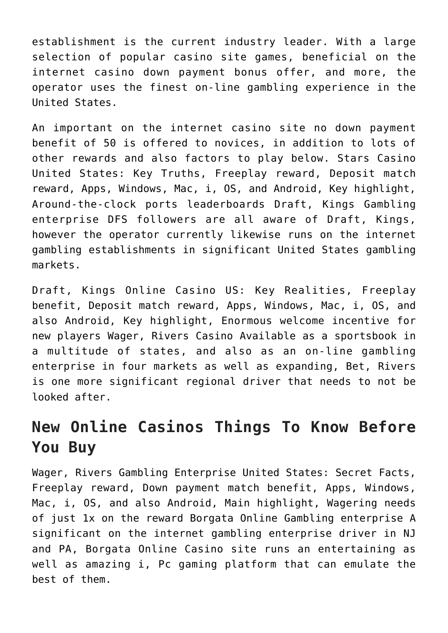establishment is the current industry leader. With a large selection of popular casino site games, beneficial on the internet casino down payment bonus offer, and more, the operator uses the finest on-line gambling experience in the United States.

An important on the internet casino site no down payment benefit of 50 is offered to novices, in addition to lots of other rewards and also factors to play below. Stars Casino United States: Key Truths, Freeplay reward, Deposit match reward, Apps, Windows, Mac, i, OS, and Android, Key highlight, Around-the-clock ports leaderboards Draft, Kings Gambling enterprise DFS followers are all aware of Draft, Kings, however the operator currently likewise runs on the internet gambling establishments in significant United States gambling markets.

Draft, Kings Online Casino US: Key Realities, Freeplay benefit, Deposit match reward, Apps, Windows, Mac, i, OS, and also Android, Key highlight, Enormous welcome incentive for new players Wager, Rivers Casino Available as a sportsbook in a multitude of states, and also as an on-line gambling enterprise in four markets as well as expanding, Bet, Rivers is one more significant regional driver that needs to not be looked after.

### **New Online Casinos Things To Know Before You Buy**

Wager, Rivers Gambling Enterprise United States: Secret Facts, Freeplay reward, Down payment match benefit, Apps, Windows, Mac, i, OS, and also Android, Main highlight, Wagering needs of just 1x on the reward Borgata Online Gambling enterprise A significant on the internet gambling enterprise driver in NJ and PA, Borgata Online Casino site runs an entertaining as well as amazing i, Pc gaming platform that can emulate the best of them.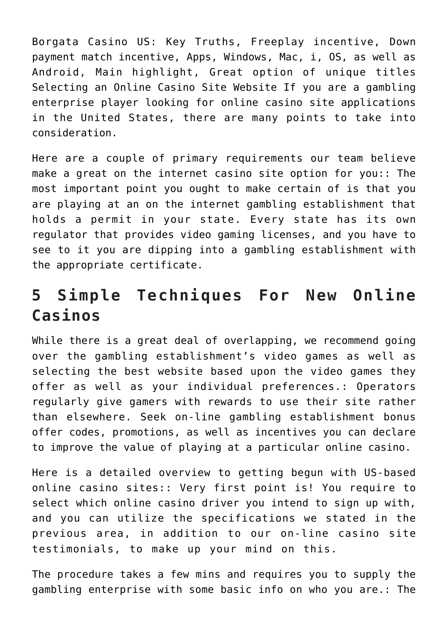Borgata Casino US: Key Truths, Freeplay incentive, Down payment match incentive, Apps, Windows, Mac, i, OS, as well as Android, Main highlight, Great option of unique titles Selecting an Online Casino Site Website If you are a gambling enterprise player looking for online casino site applications in the United States, there are many points to take into consideration.

Here are a couple of primary requirements our team believe make a great on the internet casino site option for you:: The most important point you ought to make certain of is that you are playing at an on the internet gambling establishment that holds a permit in your state. Every state has its own regulator that provides video gaming licenses, and you have to see to it you are dipping into a gambling establishment with the appropriate certificate.

### **5 Simple Techniques For New Online Casinos**

While there is a great deal of overlapping, we recommend going over the gambling establishment's video games as well as selecting the best website based upon the video games they offer as well as your individual preferences.: Operators regularly give gamers with rewards to use their site rather than elsewhere. Seek on-line gambling establishment bonus offer codes, promotions, as well as incentives you can declare to improve the value of playing at a particular online casino.

Here is a detailed overview to getting begun with US-based online casino sites:: Very first point is! You require to select which online casino driver you intend to sign up with, and you can utilize the specifications we stated in the previous area, in addition to our on-line casino site testimonials, to make up your mind on this.

The procedure takes a few mins and requires you to supply the gambling enterprise with some basic info on who you are.: The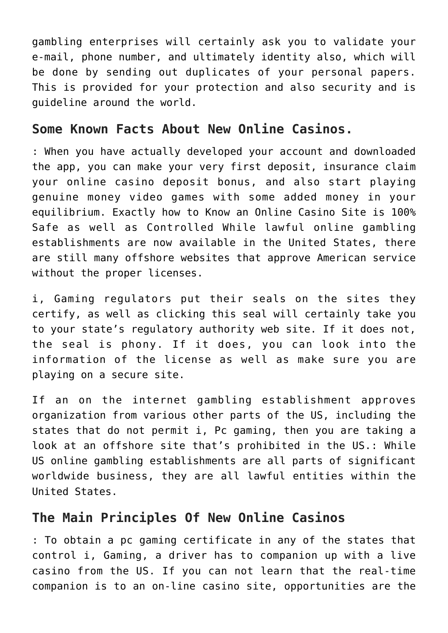gambling enterprises will certainly ask you to validate your e-mail, phone number, and ultimately identity also, which will be done by sending out duplicates of your personal papers. This is provided for your protection and also security and is guideline around the world.

#### **Some Known Facts About New Online Casinos.**

: When you have actually developed your account and downloaded the app, you can make your very first deposit, insurance claim your online casino deposit bonus, and also start playing genuine money video games with some added money in your equilibrium. Exactly how to Know an Online Casino Site is 100% Safe as well as Controlled While lawful online gambling establishments are now available in the United States, there are still many offshore websites that approve American service without the proper licenses.

i, Gaming regulators put their seals on the sites they certify, as well as clicking this seal will certainly take you to your state's regulatory authority web site. If it does not, the seal is phony. If it does, you can look into the information of the license as well as make sure you are playing on a secure site.

If an on the internet gambling establishment approves organization from various other parts of the US, including the states that do not permit i, Pc gaming, then you are taking a look at an offshore site that's prohibited in the US.: While US online gambling establishments are all parts of significant worldwide business, they are all lawful entities within the United States.

#### **The Main Principles Of New Online Casinos**

: To obtain a pc gaming certificate in any of the states that control i, Gaming, a driver has to companion up with a live casino from the US. If you can not learn that the real-time companion is to an on-line casino site, opportunities are the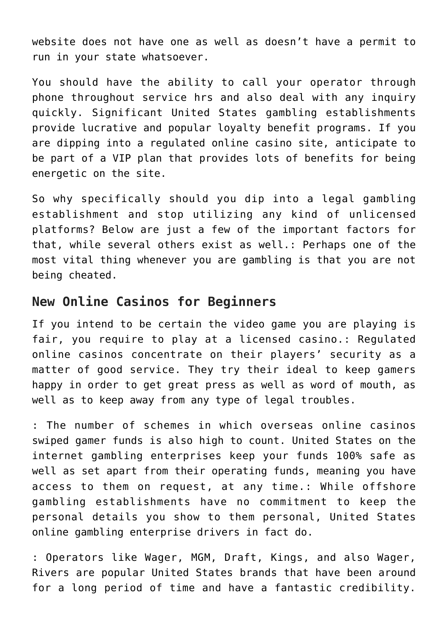website does not have one as well as doesn't have a permit to run in your state whatsoever.

You should have the ability to call your operator through phone throughout service hrs and also deal with any inquiry quickly. Significant United States gambling establishments provide lucrative and popular loyalty benefit programs. If you are dipping into a regulated online casino site, anticipate to be part of a VIP plan that provides lots of benefits for being energetic on the site.

So why specifically should you dip into a legal gambling establishment and stop utilizing any kind of unlicensed platforms? Below are just a few of the important factors for that, while several others exist as well.: Perhaps one of the most vital thing whenever you are gambling is that you are not being cheated.

#### **New Online Casinos for Beginners**

If you intend to be certain the video game you are playing is fair, you require to play at a licensed casino.: Regulated online casinos concentrate on their players' security as a matter of good service. They try their ideal to keep gamers happy in order to get great press as well as word of mouth, as well as to keep away from any type of legal troubles.

: The number of schemes in which overseas online casinos swiped gamer funds is also high to count. United States on the internet gambling enterprises keep your funds 100% safe as well as set apart from their operating funds, meaning you have access to them on request, at any time.: While offshore gambling establishments have no commitment to keep the personal details you show to them personal, United States online gambling enterprise drivers in fact do.

: Operators like Wager, MGM, Draft, Kings, and also Wager, Rivers are popular United States brands that have been around for a long period of time and have a fantastic credibility.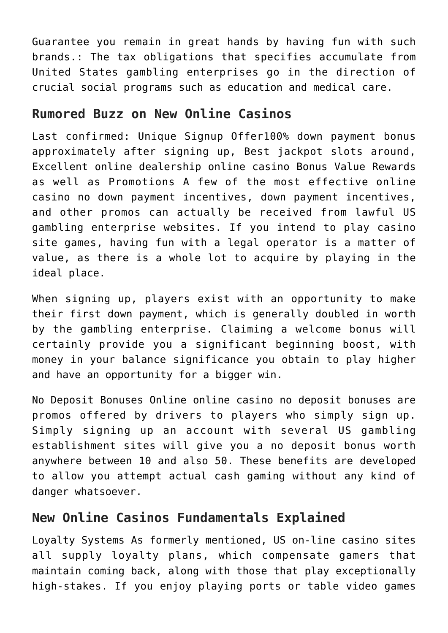Guarantee you remain in great hands by having fun with such brands.: The tax obligations that specifies accumulate from United States gambling enterprises go in the direction of crucial social programs such as education and medical care.

#### **Rumored Buzz on New Online Casinos**

Last confirmed: Unique Signup Offer100% down payment bonus approximately after signing up, Best jackpot slots around, Excellent online dealership online casino Bonus Value Rewards as well as Promotions A few of the most effective online casino no down payment incentives, down payment incentives, and other promos can actually be received from lawful US gambling enterprise websites. If you intend to play casino site games, having fun with a legal operator is a matter of value, as there is a whole lot to acquire by playing in the ideal place.

When signing up, players exist with an opportunity to make their first down payment, which is generally doubled in worth by the gambling enterprise. Claiming a welcome bonus will certainly provide you a significant beginning boost, with money in your balance significance you obtain to play higher and have an opportunity for a bigger win.

No Deposit Bonuses Online online casino no deposit bonuses are promos offered by drivers to players who simply sign up. Simply signing up an account with several US gambling establishment sites will give you a no deposit bonus worth anywhere between 10 and also 50. These benefits are developed to allow you attempt actual cash gaming without any kind of danger whatsoever.

#### **New Online Casinos Fundamentals Explained**

Loyalty Systems As formerly mentioned, US on-line casino sites all supply loyalty plans, which compensate gamers that maintain coming back, along with those that play exceptionally high-stakes. If you enjoy playing ports or table video games